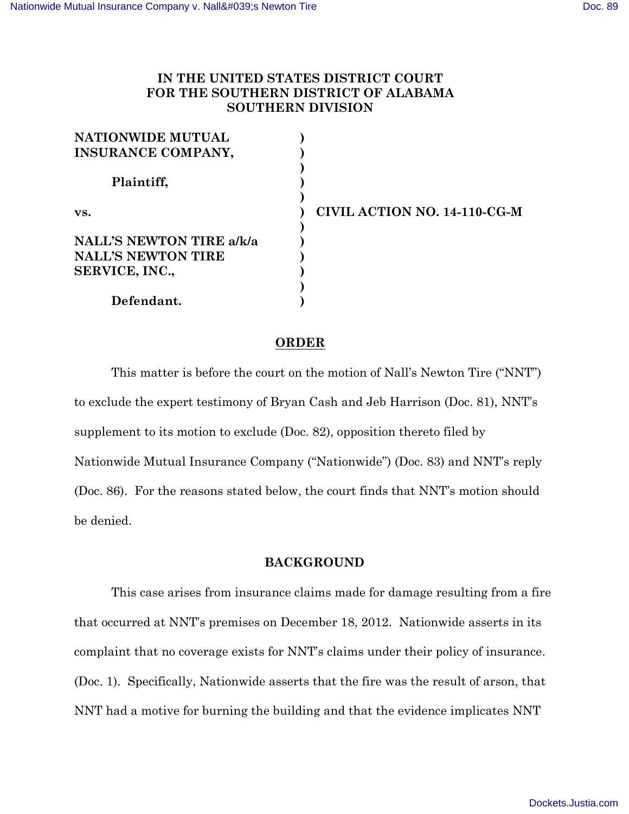# **IN THE UNITED STATES DISTRICT COURT FOR THE SOUTHERN DISTRICT OF ALABAMA SOUTHERN DIVISION**

**) ) ) ) ) ) ) ) ) ) ) )**

| <b>NATIONWIDE MUTUAL</b><br><b>INSURANCE COMPANY,</b>                          |  |
|--------------------------------------------------------------------------------|--|
| Plaintiff,                                                                     |  |
| VS.                                                                            |  |
| <b>NALL'S NEWTON TIRE a/k/a</b><br><b>NALL'S NEWTON TIRE</b><br>SERVICE, INC., |  |
| Defendant.                                                                     |  |

**vs. CIVIL ACTION NO. 14-110-CG-M**

## **ORDER**

This matter is before the court on the motion of Nall's Newton Tire ("NNT") to exclude the expert testimony of Bryan Cash and Jeb Harrison (Doc. 81), NNT's supplement to its motion to exclude (Doc. 82), opposition thereto filed by Nationwide Mutual Insurance Company ("Nationwide") (Doc. 83) and NNT's reply (Doc. 86). For the reasons stated below, the court finds that NNT's motion should be denied.

#### **BACKGROUND**

This case arises from insurance claims made for damage resulting from a fire that occurred at NNT's premises on December 18, 2012. Nationwide asserts in its complaint that no coverage exists for NNT's claims under their policy of insurance. (Doc. 1). Specifically, Nationwide asserts that the fire was the result of arson, that NNT had a motive for burning the building and that the evidence implicates NNT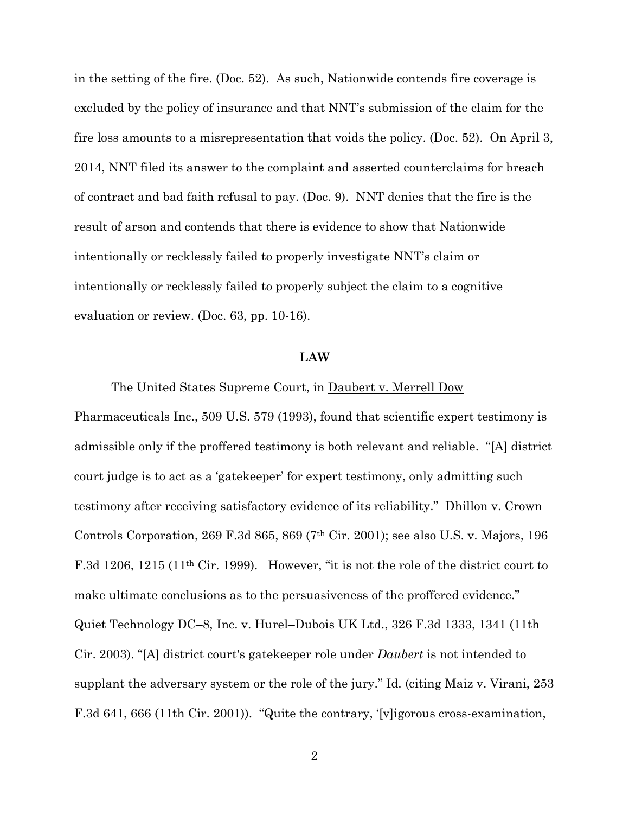in the setting of the fire. (Doc. 52). As such, Nationwide contends fire coverage is excluded by the policy of insurance and that NNT's submission of the claim for the fire loss amounts to a misrepresentation that voids the policy. (Doc. 52). On April 3, 2014, NNT filed its answer to the complaint and asserted counterclaims for breach of contract and bad faith refusal to pay. (Doc. 9). NNT denies that the fire is the result of arson and contends that there is evidence to show that Nationwide intentionally or recklessly failed to properly investigate NNT's claim or intentionally or recklessly failed to properly subject the claim to a cognitive evaluation or review. (Doc. 63, pp. 10-16).

#### **LAW**

The United States Supreme Court, in Daubert v. Merrell Dow Pharmaceuticals Inc., 509 U.S. 579 (1993), found that scientific expert testimony is admissible only if the proffered testimony is both relevant and reliable. "[A] district court judge is to act as a 'gatekeeper' for expert testimony, only admitting such testimony after receiving satisfactory evidence of its reliability." Dhillon v. Crown Controls Corporation, 269 F.3d 865, 869 (7th Cir. 2001); see also U.S. v. Majors, 196 F.3d 1206, 1215 (11th Cir. 1999). However, "it is not the role of the district court to make ultimate conclusions as to the persuasiveness of the proffered evidence." Quiet Technology DC–8, Inc. v. Hurel–Dubois UK Ltd., 326 F.3d 1333, 1341 (11th Cir. 2003). "[A] district court's gatekeeper role under *Daubert* is not intended to supplant the adversary system or the role of the jury." Id. (citing Maiz v. Virani, 253 F.3d 641, 666 (11th Cir. 2001)). "Quite the contrary, '[v]igorous cross-examination,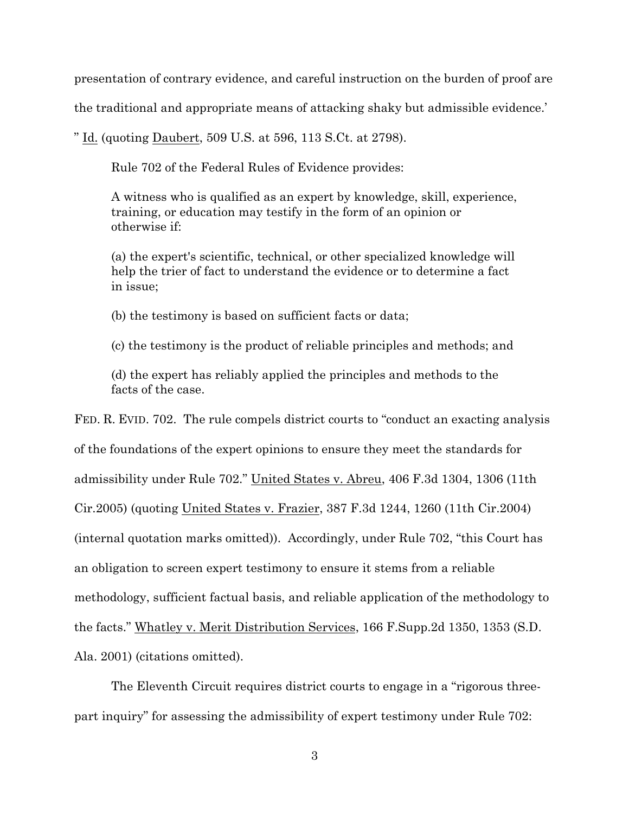presentation of contrary evidence, and careful instruction on the burden of proof are

the traditional and appropriate means of attacking shaky but admissible evidence.'

" Id. (quoting Daubert, 509 U.S. at 596, 113 S.Ct. at 2798).

Rule 702 of the Federal Rules of Evidence provides:

A witness who is qualified as an expert by knowledge, skill, experience, training, or education may testify in the form of an opinion or otherwise if:

(a) the expert's scientific, technical, or other specialized knowledge will help the trier of fact to understand the evidence or to determine a fact in issue;

(b) the testimony is based on sufficient facts or data;

(c) the testimony is the product of reliable principles and methods; and

(d) the expert has reliably applied the principles and methods to the facts of the case.

FED. R. EVID. 702. The rule compels district courts to "conduct an exacting analysis of the foundations of the expert opinions to ensure they meet the standards for admissibility under Rule 702." United States v. Abreu, 406 F.3d 1304, 1306 (11th Cir.2005) (quoting United States v. Frazier, 387 F.3d 1244, 1260 (11th Cir.2004) (internal quotation marks omitted)). Accordingly, under Rule 702, "this Court has an obligation to screen expert testimony to ensure it stems from a reliable methodology, sufficient factual basis, and reliable application of the methodology to the facts." Whatley v. Merit Distribution Services, 166 F.Supp.2d 1350, 1353 (S.D. Ala. 2001) (citations omitted).

The Eleventh Circuit requires district courts to engage in a "rigorous threepart inquiry" for assessing the admissibility of expert testimony under Rule 702: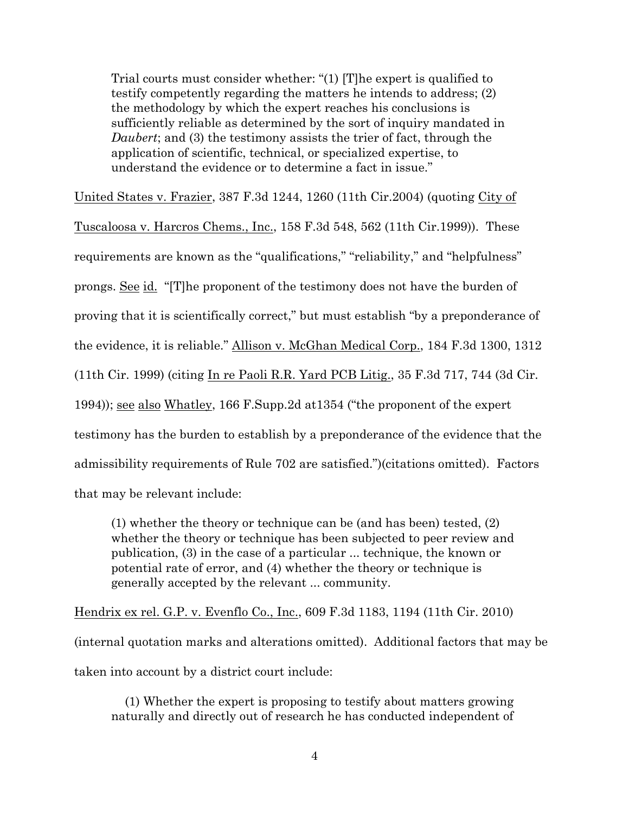Trial courts must consider whether: "(1) [T]he expert is qualified to testify competently regarding the matters he intends to address; (2) the methodology by which the expert reaches his conclusions is sufficiently reliable as determined by the sort of inquiry mandated in *Daubert*; and (3) the testimony assists the trier of fact, through the application of scientific, technical, or specialized expertise, to understand the evidence or to determine a fact in issue."

United States v. Frazier, 387 F.3d 1244, 1260 (11th Cir.2004) (quoting City of

Tuscaloosa v. Harcros Chems., Inc., 158 F.3d 548, 562 (11th Cir.1999)). These requirements are known as the "qualifications," "reliability," and "helpfulness" prongs. See id. "[T]he proponent of the testimony does not have the burden of proving that it is scientifically correct," but must establish "by a preponderance of the evidence, it is reliable." Allison v. McGhan Medical Corp., 184 F.3d 1300, 1312 (11th Cir. 1999) (citing In re Paoli R.R. Yard PCB Litig., 35 F.3d 717, 744 (3d Cir. 1994)); see also Whatley, 166 F.Supp.2d at1354 ("the proponent of the expert testimony has the burden to establish by a preponderance of the evidence that the admissibility requirements of Rule 702 are satisfied.")(citations omitted). Factors that may be relevant include:

(1) whether the theory or technique can be (and has been) tested, (2) whether the theory or technique has been subjected to peer review and publication, (3) in the case of a particular ... technique, the known or potential rate of error, and (4) whether the theory or technique is generally accepted by the relevant ... community.

Hendrix ex rel. G.P. v. Evenflo Co., Inc., 609 F.3d 1183, 1194 (11th Cir. 2010) (internal quotation marks and alterations omitted). Additional factors that may be taken into account by a district court include:

 (1) Whether the expert is proposing to testify about matters growing naturally and directly out of research he has conducted independent of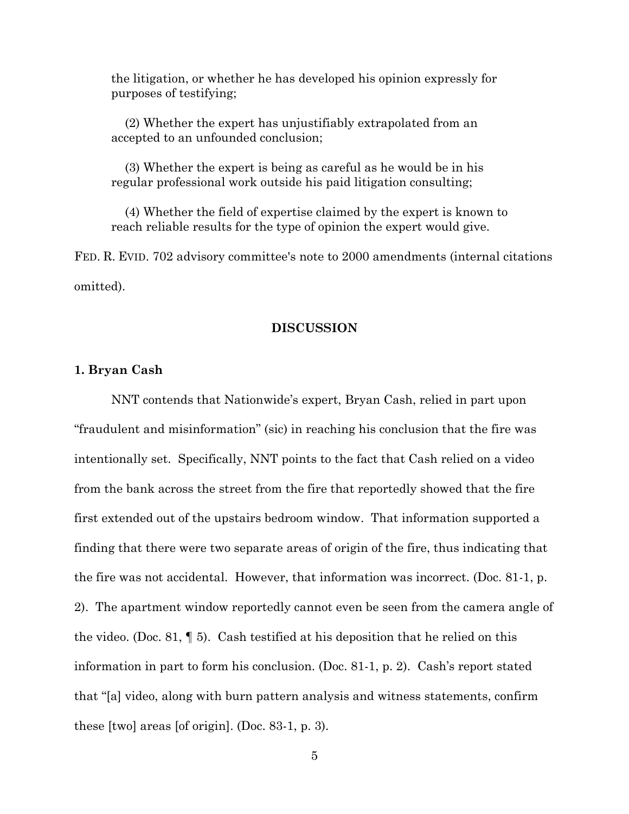the litigation, or whether he has developed his opinion expressly for purposes of testifying;

 (2) Whether the expert has unjustifiably extrapolated from an accepted to an unfounded conclusion;

 (3) Whether the expert is being as careful as he would be in his regular professional work outside his paid litigation consulting;

 (4) Whether the field of expertise claimed by the expert is known to reach reliable results for the type of opinion the expert would give.

FED. R. EVID. 702 advisory committee's note to 2000 amendments (internal citations omitted).

## **DISCUSSION**

### **1. Bryan Cash**

NNT contends that Nationwide's expert, Bryan Cash, relied in part upon "fraudulent and misinformation" (sic) in reaching his conclusion that the fire was intentionally set. Specifically, NNT points to the fact that Cash relied on a video from the bank across the street from the fire that reportedly showed that the fire first extended out of the upstairs bedroom window. That information supported a finding that there were two separate areas of origin of the fire, thus indicating that the fire was not accidental. However, that information was incorrect. (Doc. 81-1, p. 2). The apartment window reportedly cannot even be seen from the camera angle of the video. (Doc. 81,  $\P$  5). Cash testified at his deposition that he relied on this information in part to form his conclusion. (Doc. 81-1, p. 2). Cash's report stated that "[a] video, along with burn pattern analysis and witness statements, confirm these [two] areas [of origin]. (Doc. 83-1, p. 3).

5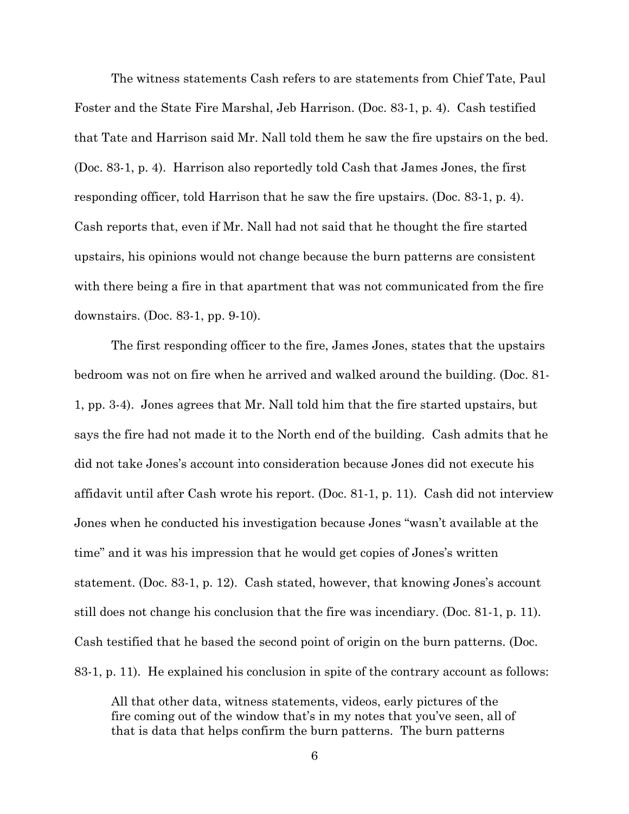The witness statements Cash refers to are statements from Chief Tate, Paul Foster and the State Fire Marshal, Jeb Harrison. (Doc. 83-1, p. 4). Cash testified that Tate and Harrison said Mr. Nall told them he saw the fire upstairs on the bed. (Doc. 83-1, p. 4). Harrison also reportedly told Cash that James Jones, the first responding officer, told Harrison that he saw the fire upstairs. (Doc. 83-1, p. 4). Cash reports that, even if Mr. Nall had not said that he thought the fire started upstairs, his opinions would not change because the burn patterns are consistent with there being a fire in that apartment that was not communicated from the fire downstairs. (Doc. 83-1, pp. 9-10).

The first responding officer to the fire, James Jones, states that the upstairs bedroom was not on fire when he arrived and walked around the building. (Doc. 81- 1, pp. 3-4). Jones agrees that Mr. Nall told him that the fire started upstairs, but says the fire had not made it to the North end of the building. Cash admits that he did not take Jones's account into consideration because Jones did not execute his affidavit until after Cash wrote his report. (Doc. 81-1, p. 11). Cash did not interview Jones when he conducted his investigation because Jones "wasn't available at the time" and it was his impression that he would get copies of Jones's written statement. (Doc. 83-1, p. 12). Cash stated, however, that knowing Jones's account still does not change his conclusion that the fire was incendiary. (Doc. 81-1, p. 11). Cash testified that he based the second point of origin on the burn patterns. (Doc. 83-1, p. 11). He explained his conclusion in spite of the contrary account as follows:

All that other data, witness statements, videos, early pictures of the fire coming out of the window that's in my notes that you've seen, all of that is data that helps confirm the burn patterns. The burn patterns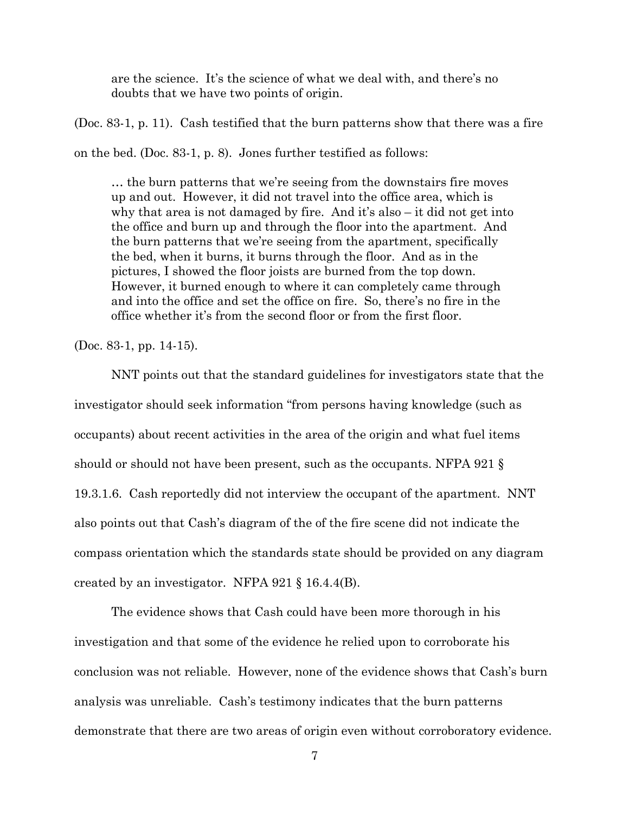are the science. It's the science of what we deal with, and there's no doubts that we have two points of origin.

(Doc. 83-1, p. 11). Cash testified that the burn patterns show that there was a fire

on the bed. (Doc. 83-1, p. 8). Jones further testified as follows:

… the burn patterns that we're seeing from the downstairs fire moves up and out. However, it did not travel into the office area, which is why that area is not damaged by fire. And it's also – it did not get into the office and burn up and through the floor into the apartment. And the burn patterns that we're seeing from the apartment, specifically the bed, when it burns, it burns through the floor. And as in the pictures, I showed the floor joists are burned from the top down. However, it burned enough to where it can completely came through and into the office and set the office on fire. So, there's no fire in the office whether it's from the second floor or from the first floor.

(Doc. 83-1, pp. 14-15).

NNT points out that the standard guidelines for investigators state that the investigator should seek information "from persons having knowledge (such as occupants) about recent activities in the area of the origin and what fuel items should or should not have been present, such as the occupants. NFPA 921 § 19.3.1.6. Cash reportedly did not interview the occupant of the apartment. NNT also points out that Cash's diagram of the of the fire scene did not indicate the compass orientation which the standards state should be provided on any diagram created by an investigator. NFPA 921 § 16.4.4(B).

The evidence shows that Cash could have been more thorough in his investigation and that some of the evidence he relied upon to corroborate his conclusion was not reliable. However, none of the evidence shows that Cash's burn analysis was unreliable. Cash's testimony indicates that the burn patterns demonstrate that there are two areas of origin even without corroboratory evidence.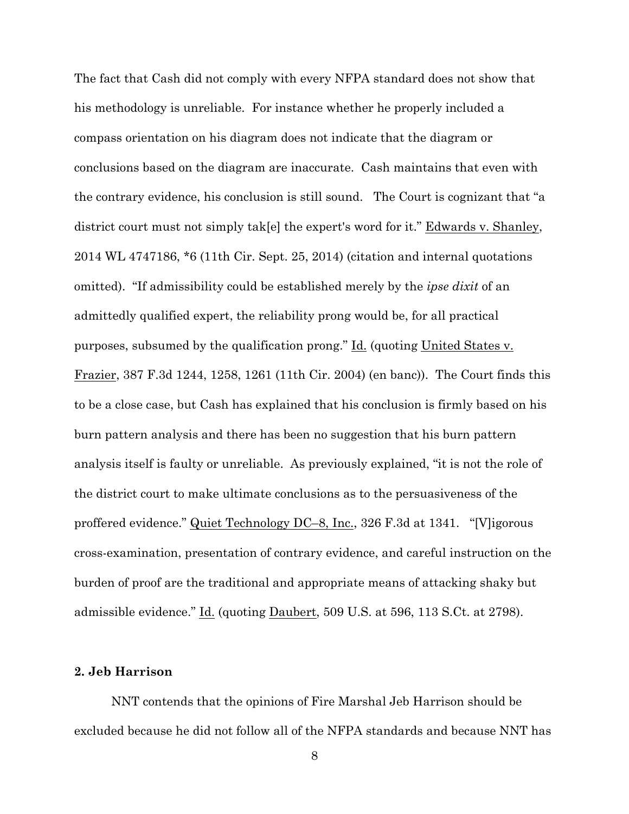The fact that Cash did not comply with every NFPA standard does not show that his methodology is unreliable. For instance whether he properly included a compass orientation on his diagram does not indicate that the diagram or conclusions based on the diagram are inaccurate. Cash maintains that even with the contrary evidence, his conclusion is still sound. The Court is cognizant that "a district court must not simply tak[e] the expert's word for it." Edwards v. Shanley, 2014 WL 4747186, \*6 (11th Cir. Sept. 25, 2014) (citation and internal quotations omitted). "If admissibility could be established merely by the *ipse dixit* of an admittedly qualified expert, the reliability prong would be, for all practical purposes, subsumed by the qualification prong." Id. (quoting United States v. Frazier, 387 F.3d 1244, 1258, 1261 (11th Cir. 2004) (en banc)). The Court finds this to be a close case, but Cash has explained that his conclusion is firmly based on his burn pattern analysis and there has been no suggestion that his burn pattern analysis itself is faulty or unreliable. As previously explained, "it is not the role of the district court to make ultimate conclusions as to the persuasiveness of the proffered evidence." Quiet Technology DC–8, Inc., 326 F.3d at 1341. "[V]igorous cross-examination, presentation of contrary evidence, and careful instruction on the burden of proof are the traditional and appropriate means of attacking shaky but admissible evidence." Id. (quoting Daubert, 509 U.S. at 596, 113 S.Ct. at 2798).

#### **2. Jeb Harrison**

NNT contends that the opinions of Fire Marshal Jeb Harrison should be excluded because he did not follow all of the NFPA standards and because NNT has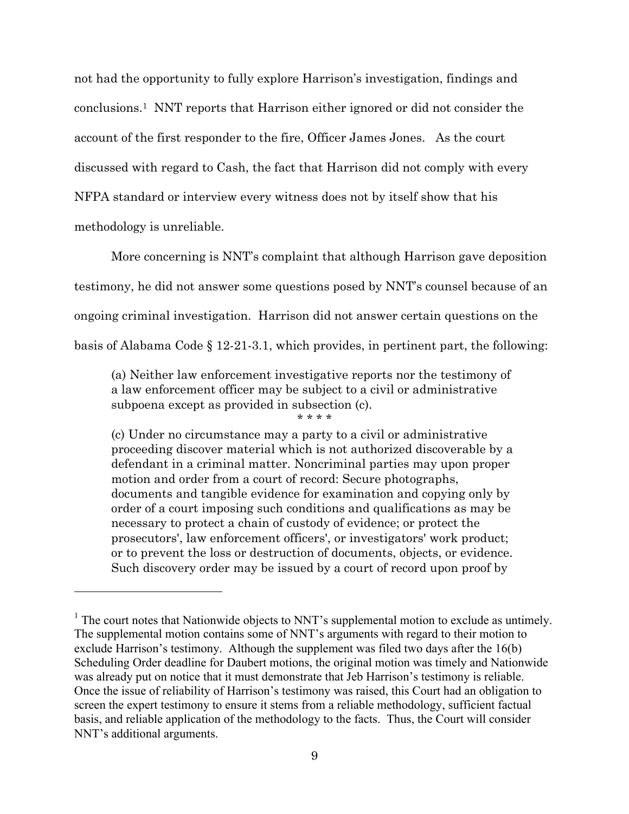not had the opportunity to fully explore Harrison's investigation, findings and conclusions.1 NNT reports that Harrison either ignored or did not consider the account of the first responder to the fire, Officer James Jones. As the court discussed with regard to Cash, the fact that Harrison did not comply with every NFPA standard or interview every witness does not by itself show that his methodology is unreliable.

More concerning is NNT's complaint that although Harrison gave deposition testimony, he did not answer some questions posed by NNT's counsel because of an ongoing criminal investigation. Harrison did not answer certain questions on the basis of Alabama Code § 12-21-3.1, which provides, in pertinent part, the following:

(a) Neither law enforcement investigative reports nor the testimony of a law enforcement officer may be subject to a civil or administrative subpoena except as provided in subsection (c). \* \* \* \*

(c) Under no circumstance may a party to a civil or administrative proceeding discover material which is not authorized discoverable by a defendant in a criminal matter. Noncriminal parties may upon proper motion and order from a court of record: Secure photographs, documents and tangible evidence for examination and copying only by order of a court imposing such conditions and qualifications as may be necessary to protect a chain of custody of evidence; or protect the prosecutors', law enforcement officers', or investigators' work product; or to prevent the loss or destruction of documents, objects, or evidence. Such discovery order may be issued by a court of record upon proof by

1

 $<sup>1</sup>$  The court notes that Nationwide objects to NNT's supplemental motion to exclude as untimely.</sup> The supplemental motion contains some of NNT's arguments with regard to their motion to exclude Harrison's testimony. Although the supplement was filed two days after the 16(b) Scheduling Order deadline for Daubert motions, the original motion was timely and Nationwide was already put on notice that it must demonstrate that Jeb Harrison's testimony is reliable. Once the issue of reliability of Harrison's testimony was raised, this Court had an obligation to screen the expert testimony to ensure it stems from a reliable methodology, sufficient factual basis, and reliable application of the methodology to the facts. Thus, the Court will consider NNT's additional arguments.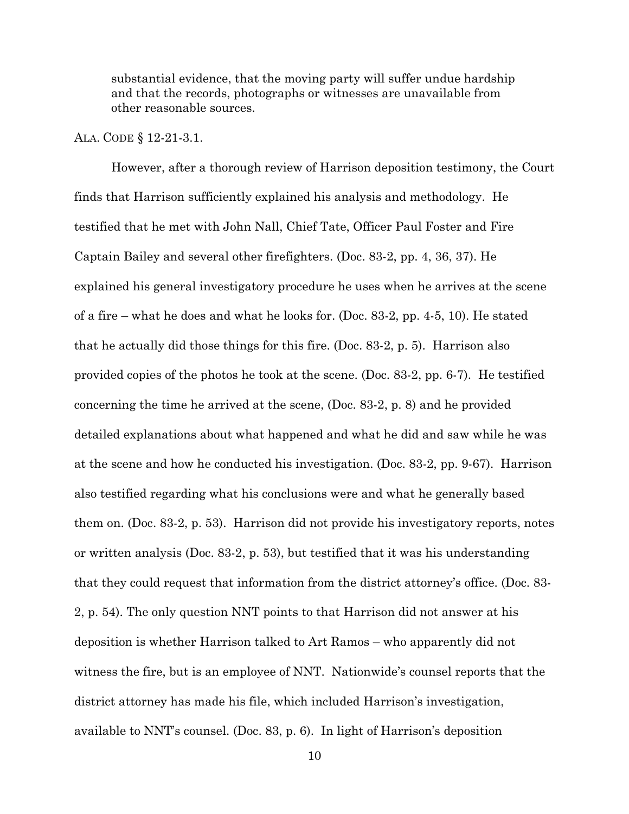substantial evidence, that the moving party will suffer undue hardship and that the records, photographs or witnesses are unavailable from other reasonable sources.

# ALA. CODE § 12-21-3.1.

However, after a thorough review of Harrison deposition testimony, the Court finds that Harrison sufficiently explained his analysis and methodology. He testified that he met with John Nall, Chief Tate, Officer Paul Foster and Fire Captain Bailey and several other firefighters. (Doc. 83-2, pp. 4, 36, 37). He explained his general investigatory procedure he uses when he arrives at the scene of a fire – what he does and what he looks for. (Doc. 83-2, pp. 4-5, 10). He stated that he actually did those things for this fire. (Doc. 83-2, p. 5). Harrison also provided copies of the photos he took at the scene. (Doc. 83-2, pp. 6-7). He testified concerning the time he arrived at the scene, (Doc. 83-2, p. 8) and he provided detailed explanations about what happened and what he did and saw while he was at the scene and how he conducted his investigation. (Doc. 83-2, pp. 9-67). Harrison also testified regarding what his conclusions were and what he generally based them on. (Doc. 83-2, p. 53). Harrison did not provide his investigatory reports, notes or written analysis (Doc. 83-2, p. 53), but testified that it was his understanding that they could request that information from the district attorney's office. (Doc. 83- 2, p. 54). The only question NNT points to that Harrison did not answer at his deposition is whether Harrison talked to Art Ramos – who apparently did not witness the fire, but is an employee of NNT. Nationwide's counsel reports that the district attorney has made his file, which included Harrison's investigation, available to NNT's counsel. (Doc. 83, p. 6). In light of Harrison's deposition

10